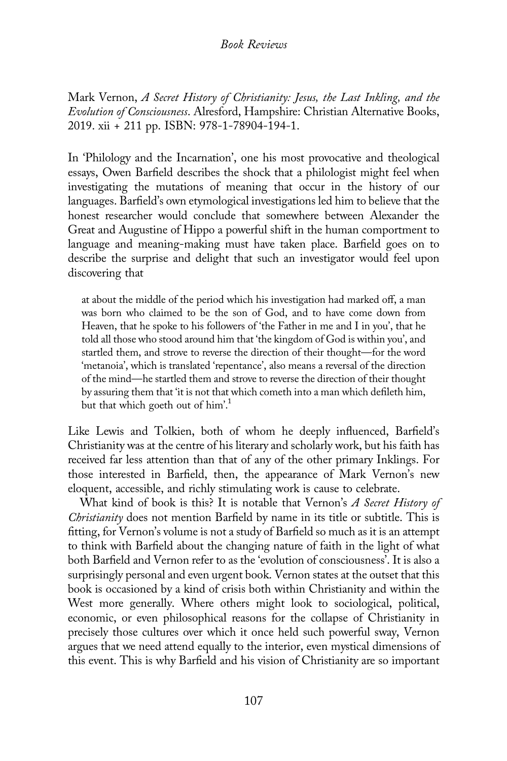## Book Reviews

Mark Vernon, A Secret History of Christianity: Jesus, the Last Inkling, and the Evolution of Consciousness. Alresford, Hampshire: Christian Alternative Books, 2019. xii + 211 pp. ISBN: 978-1-78904-194-1.

In 'Philology and the Incarnation', one his most provocative and theological essays, Owen Barfield describes the shock that a philologist might feel when investigating the mutations of meaning that occur in the history of our languages. Barfield's own etymological investigations led him to believe that the honest researcher would conclude that somewhere between Alexander the Great and Augustine of Hippo a powerful shift in the human comportment to language and meaning-making must have taken place. Barfield goes on to describe the surprise and delight that such an investigator would feel upon discovering that

at about the middle of the period which his investigation had marked off, a man was born who claimed to be the son of God, and to have come down from Heaven, that he spoke to his followers of 'the Father in me and I in you', that he told all those who stood around him that 'the kingdom of God is within you', and startled them, and strove to reverse the direction of their thought—for the word 'metanoia', which is translated 'repentance', also means a reversal of the direction of the mind—he startled them and strove to reverse the direction of their thought by assuring them that 'it is not that which cometh into a man which defileth him, but that which goeth out of him'.<sup>1</sup>

Like Lewis and Tolkien, both of whom he deeply influenced, Barfield's Christianity was at the centre of his literary and scholarly work, but his faith has received far less attention than that of any of the other primary Inklings. For those interested in Barfield, then, the appearance of Mark Vernon's new eloquent, accessible, and richly stimulating work is cause to celebrate.

What kind of book is this? It is notable that Vernon's A Secret History of Christianity does not mention Barfield by name in its title or subtitle. This is fitting, for Vernon's volume is not a study of Barfield so much as it is an attempt to think with Barfield about the changing nature of faith in the light of what both Barfield and Vernon refer to as the 'evolution of consciousness'. It is also a surprisingly personal and even urgent book. Vernon states at the outset that this book is occasioned by a kind of crisis both within Christianity and within the West more generally. Where others might look to sociological, political, economic, or even philosophical reasons for the collapse of Christianity in precisely those cultures over which it once held such powerful sway, Vernon argues that we need attend equally to the interior, even mystical dimensions of this event. This is why Barfield and his vision of Christianity are so important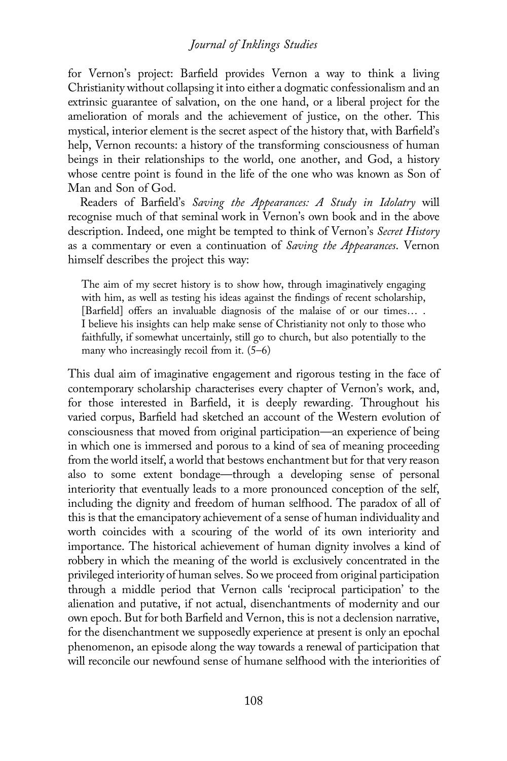## Journal of Inklings Studies

for Vernon's project: Barfield provides Vernon a way to think a living Christianity without collapsing it into either a dogmatic confessionalism and an extrinsic guarantee of salvation, on the one hand, or a liberal project for the amelioration of morals and the achievement of justice, on the other. This mystical, interior element is the secret aspect of the history that, with Barfield's help, Vernon recounts: a history of the transforming consciousness of human beings in their relationships to the world, one another, and God, a history whose centre point is found in the life of the one who was known as Son of Man and Son of God.

Readers of Barfield's Saving the Appearances: A Study in Idolatry will recognise much of that seminal work in Vernon's own book and in the above description. Indeed, one might be tempted to think of Vernon's Secret History as a commentary or even a continuation of Saving the Appearances. Vernon himself describes the project this way:

The aim of my secret history is to show how, through imaginatively engaging with him, as well as testing his ideas against the findings of recent scholarship, [Barfield] offers an invaluable diagnosis of the malaise of or our times… . I believe his insights can help make sense of Christianity not only to those who faithfully, if somewhat uncertainly, still go to church, but also potentially to the many who increasingly recoil from it. (5–6)

This dual aim of imaginative engagement and rigorous testing in the face of contemporary scholarship characterises every chapter of Vernon's work, and, for those interested in Barfield, it is deeply rewarding. Throughout his varied corpus, Barfield had sketched an account of the Western evolution of consciousness that moved from original participation—an experience of being in which one is immersed and porous to a kind of sea of meaning proceeding from the world itself, a world that bestows enchantment but for that very reason also to some extent bondage—through a developing sense of personal interiority that eventually leads to a more pronounced conception of the self, including the dignity and freedom of human selfhood. The paradox of all of this is that the emancipatory achievement of a sense of human individuality and worth coincides with a scouring of the world of its own interiority and importance. The historical achievement of human dignity involves a kind of robbery in which the meaning of the world is exclusively concentrated in the privileged interiority of human selves. So we proceed from original participation through a middle period that Vernon calls 'reciprocal participation' to the alienation and putative, if not actual, disenchantments of modernity and our own epoch. But for both Barfield and Vernon, this is not a declension narrative, for the disenchantment we supposedly experience at present is only an epochal phenomenon, an episode along the way towards a renewal of participation that will reconcile our newfound sense of humane selfhood with the interiorities of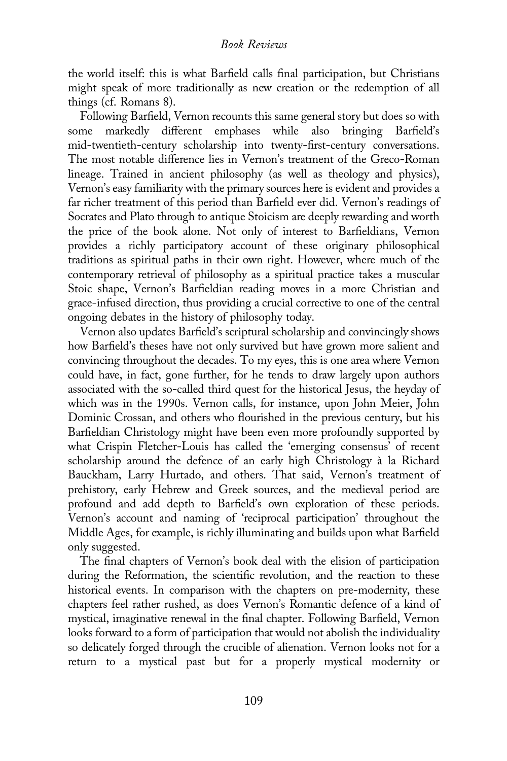the world itself: this is what Barfield calls final participation, but Christians might speak of more traditionally as new creation or the redemption of all things (cf. Romans 8).

Following Barfield, Vernon recounts this same general story but does so with some markedly different emphases while also bringing Barfield's mid-twentieth-century scholarship into twenty-first-century conversations. The most notable difference lies in Vernon's treatment of the Greco-Roman lineage. Trained in ancient philosophy (as well as theology and physics), Vernon's easy familiarity with the primary sources here is evident and provides a far richer treatment of this period than Barfield ever did. Vernon's readings of Socrates and Plato through to antique Stoicism are deeply rewarding and worth the price of the book alone. Not only of interest to Barfieldians, Vernon provides a richly participatory account of these originary philosophical traditions as spiritual paths in their own right. However, where much of the contemporary retrieval of philosophy as a spiritual practice takes a muscular Stoic shape, Vernon's Barfieldian reading moves in a more Christian and grace-infused direction, thus providing a crucial corrective to one of the central ongoing debates in the history of philosophy today.

Vernon also updates Barfield's scriptural scholarship and convincingly shows how Barfield's theses have not only survived but have grown more salient and convincing throughout the decades. To my eyes, this is one area where Vernon could have, in fact, gone further, for he tends to draw largely upon authors associated with the so-called third quest for the historical Jesus, the heyday of which was in the 1990s. Vernon calls, for instance, upon John Meier, John Dominic Crossan, and others who flourished in the previous century, but his Barfieldian Christology might have been even more profoundly supported by what Crispin Fletcher-Louis has called the 'emerging consensus' of recent scholarship around the defence of an early high Christology à la Richard Bauckham, Larry Hurtado, and others. That said, Vernon's treatment of prehistory, early Hebrew and Greek sources, and the medieval period are profound and add depth to Barfield's own exploration of these periods. Vernon's account and naming of 'reciprocal participation' throughout the Middle Ages, for example, is richly illuminating and builds upon what Barfield only suggested.

The final chapters of Vernon's book deal with the elision of participation during the Reformation, the scientific revolution, and the reaction to these historical events. In comparison with the chapters on pre-modernity, these chapters feel rather rushed, as does Vernon's Romantic defence of a kind of mystical, imaginative renewal in the final chapter. Following Barfield, Vernon looks forward to a form of participation that would not abolish the individuality so delicately forged through the crucible of alienation. Vernon looks not for a return to a mystical past but for a properly mystical modernity or